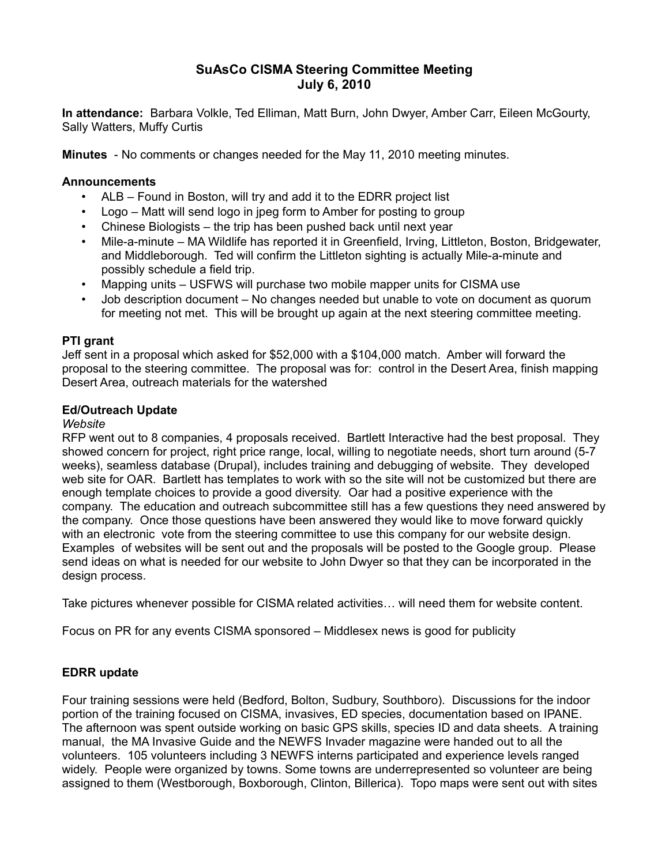# **SuAsCo CISMA Steering Committee Meeting July 6, 2010**

**In attendance:** Barbara Volkle, Ted Elliman, Matt Burn, John Dwyer, Amber Carr, Eileen McGourty, Sally Watters, Muffy Curtis

**Minutes** - No comments or changes needed for the May 11, 2010 meeting minutes.

## **Announcements**

- ALB Found in Boston, will try and add it to the EDRR project list
- Logo Matt will send logo in jpeg form to Amber for posting to group
- Chinese Biologists the trip has been pushed back until next year
- Mile-a-minute MA Wildlife has reported it in Greenfield, Irving, Littleton, Boston, Bridgewater, and Middleborough. Ted will confirm the Littleton sighting is actually Mile-a-minute and possibly schedule a field trip.
- Mapping units USFWS will purchase two mobile mapper units for CISMA use
- Job description document No changes needed but unable to vote on document as quorum for meeting not met. This will be brought up again at the next steering committee meeting.

## **PTI grant**

Jeff sent in a proposal which asked for \$52,000 with a \$104,000 match. Amber will forward the proposal to the steering committee. The proposal was for: control in the Desert Area, finish mapping Desert Area, outreach materials for the watershed

# **Ed/Outreach Update**

#### *Website*

RFP went out to 8 companies, 4 proposals received. Bartlett Interactive had the best proposal. They showed concern for project, right price range, local, willing to negotiate needs, short turn around (5-7 weeks), seamless database (Drupal), includes training and debugging of website. They developed web site for OAR. Bartlett has templates to work with so the site will not be customized but there are enough template choices to provide a good diversity. Oar had a positive experience with the company. The education and outreach subcommittee still has a few questions they need answered by the company. Once those questions have been answered they would like to move forward quickly with an electronic vote from the steering committee to use this company for our website design. Examples of websites will be sent out and the proposals will be posted to the Google group. Please send ideas on what is needed for our website to John Dwyer so that they can be incorporated in the design process.

Take pictures whenever possible for CISMA related activities… will need them for website content.

Focus on PR for any events CISMA sponsored – Middlesex news is good for publicity

# **EDRR update**

Four training sessions were held (Bedford, Bolton, Sudbury, Southboro). Discussions for the indoor portion of the training focused on CISMA, invasives, ED species, documentation based on IPANE. The afternoon was spent outside working on basic GPS skills, species ID and data sheets. A training manual, the MA Invasive Guide and the NEWFS Invader magazine were handed out to all the volunteers. 105 volunteers including 3 NEWFS interns participated and experience levels ranged widely. People were organized by towns. Some towns are underrepresented so volunteer are being assigned to them (Westborough, Boxborough, Clinton, Billerica). Topo maps were sent out with sites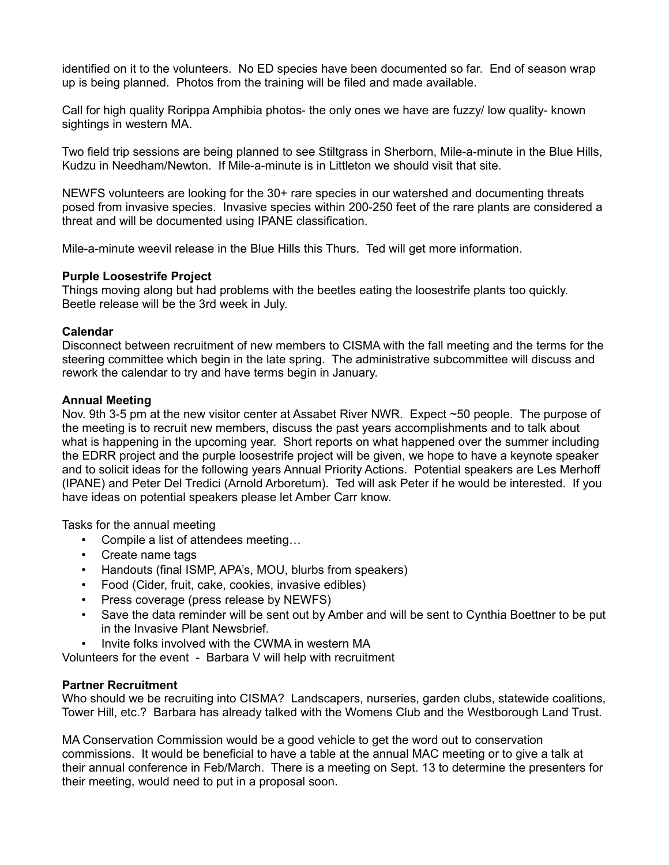identified on it to the volunteers. No ED species have been documented so far. End of season wrap up is being planned. Photos from the training will be filed and made available.

Call for high quality Rorippa Amphibia photos- the only ones we have are fuzzy/ low quality- known sightings in western MA.

Two field trip sessions are being planned to see Stiltgrass in Sherborn, Mile-a-minute in the Blue Hills, Kudzu in Needham/Newton. If Mile-a-minute is in Littleton we should visit that site.

NEWFS volunteers are looking for the 30+ rare species in our watershed and documenting threats posed from invasive species. Invasive species within 200-250 feet of the rare plants are considered a threat and will be documented using IPANE classification.

Mile-a-minute weevil release in the Blue Hills this Thurs. Ted will get more information.

## **Purple Loosestrife Project**

Things moving along but had problems with the beetles eating the loosestrife plants too quickly. Beetle release will be the 3rd week in July.

## **Calendar**

Disconnect between recruitment of new members to CISMA with the fall meeting and the terms for the steering committee which begin in the late spring. The administrative subcommittee will discuss and rework the calendar to try and have terms begin in January.

## **Annual Meeting**

Nov. 9th 3-5 pm at the new visitor center at Assabet River NWR. Expect ~50 people. The purpose of the meeting is to recruit new members, discuss the past years accomplishments and to talk about what is happening in the upcoming year. Short reports on what happened over the summer including the EDRR project and the purple loosestrife project will be given, we hope to have a keynote speaker and to solicit ideas for the following years Annual Priority Actions. Potential speakers are Les Merhoff (IPANE) and Peter Del Tredici (Arnold Arboretum). Ted will ask Peter if he would be interested. If you have ideas on potential speakers please let Amber Carr know.

Tasks for the annual meeting

- Compile a list of attendees meeting…
- Create name tags
- Handouts (final ISMP, APA's, MOU, blurbs from speakers)
- Food (Cider, fruit, cake, cookies, invasive edibles)
- Press coverage (press release by NEWFS)
- Save the data reminder will be sent out by Amber and will be sent to Cynthia Boettner to be put in the Invasive Plant Newsbrief.
- Invite folks involved with the CWMA in western MA

Volunteers for the event - Barbara V will help with recruitment

# **Partner Recruitment**

Who should we be recruiting into CISMA? Landscapers, nurseries, garden clubs, statewide coalitions, Tower Hill, etc.? Barbara has already talked with the Womens Club and the Westborough Land Trust.

MA Conservation Commission would be a good vehicle to get the word out to conservation commissions. It would be beneficial to have a table at the annual MAC meeting or to give a talk at their annual conference in Feb/March. There is a meeting on Sept. 13 to determine the presenters for their meeting, would need to put in a proposal soon.